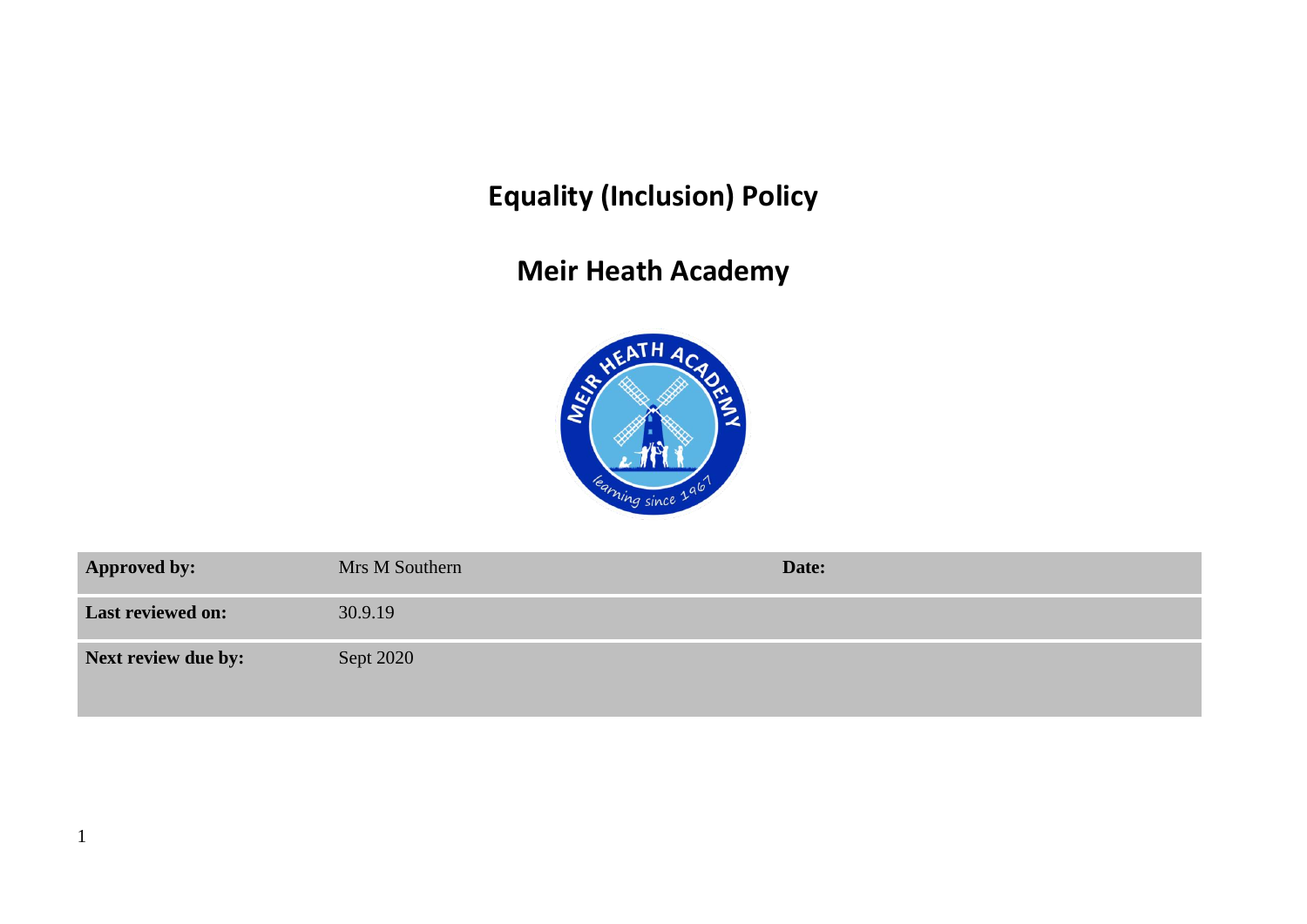# **Equality (Inclusion) Policy**

# **Meir Heath Academy**



| <b>Approved by:</b>      | Mrs M Southern | Date: |
|--------------------------|----------------|-------|
| <b>Last reviewed on:</b> | 30.9.19        |       |
| Next review due by:      | Sept 2020      |       |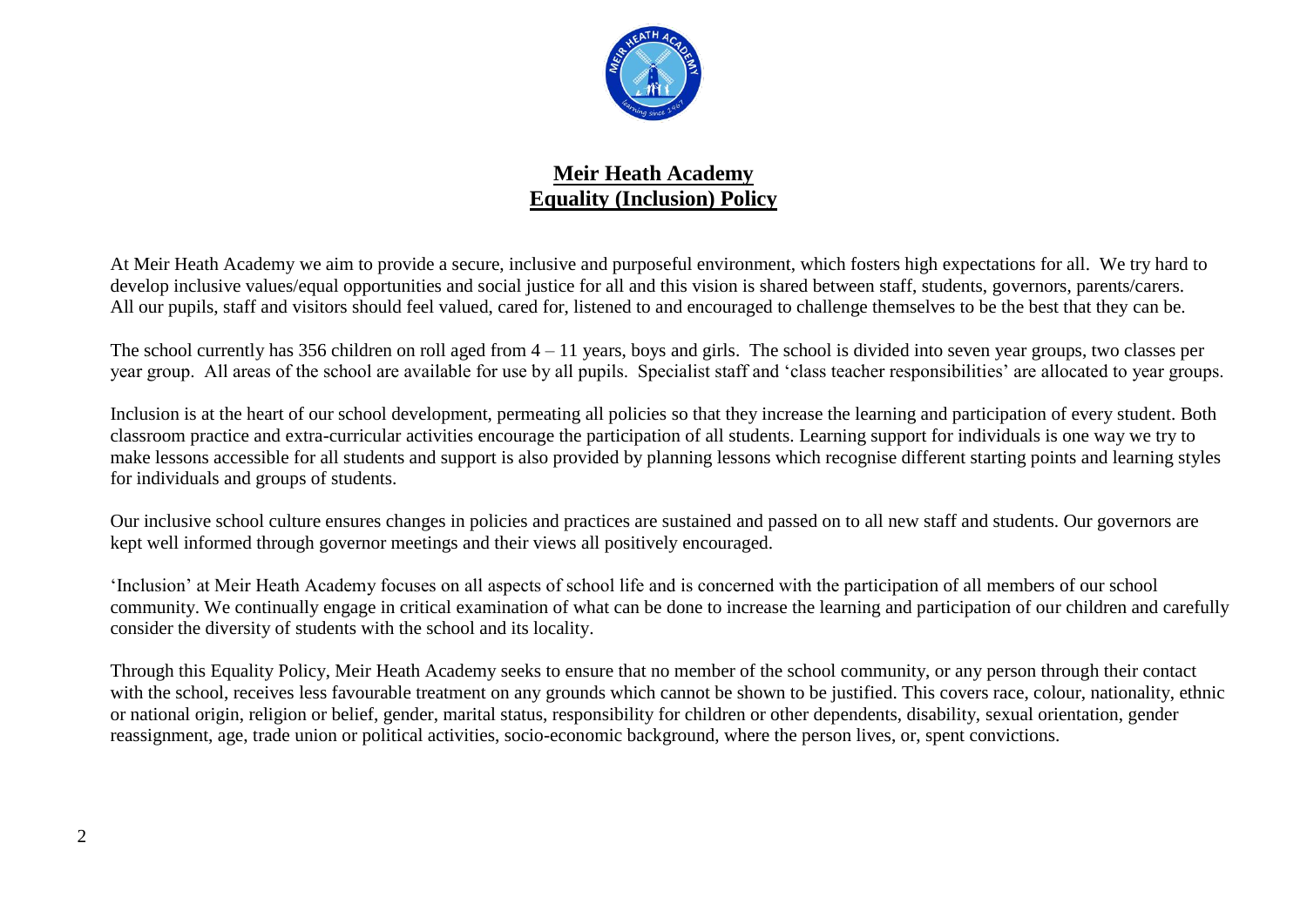

# **Meir Heath Academy Equality (Inclusion) Policy**

At Meir Heath Academy we aim to provide a secure, inclusive and purposeful environment, which fosters high expectations for all. We try hard to develop inclusive values/equal opportunities and social justice for all and this vision is shared between staff, students, governors, parents/carers. All our pupils, staff and visitors should feel valued, cared for, listened to and encouraged to challenge themselves to be the best that they can be.

The school currently has 356 children on roll aged from  $4 - 11$  years, boys and girls. The school is divided into seven year groups, two classes per year group. All areas of the school are available for use by all pupils. Specialist staff and 'class teacher responsibilities' are allocated to year groups.

Inclusion is at the heart of our school development, permeating all policies so that they increase the learning and participation of every student. Both classroom practice and extra-curricular activities encourage the participation of all students. Learning support for individuals is one way we try to make lessons accessible for all students and support is also provided by planning lessons which recognise different starting points and learning styles for individuals and groups of students.

Our inclusive school culture ensures changes in policies and practices are sustained and passed on to all new staff and students. Our governors are kept well informed through governor meetings and their views all positively encouraged.

'Inclusion' at Meir Heath Academy focuses on all aspects of school life and is concerned with the participation of all members of our school community. We continually engage in critical examination of what can be done to increase the learning and participation of our children and carefully consider the diversity of students with the school and its locality.

Through this Equality Policy, Meir Heath Academy seeks to ensure that no member of the school community, or any person through their contact with the school, receives less favourable treatment on any grounds which cannot be shown to be justified. This covers race, colour, nationality, ethnic or national origin, religion or belief, gender, marital status, responsibility for children or other dependents, disability, sexual orientation, gender reassignment, age, trade union or political activities, socio-economic background, where the person lives, or, spent convictions.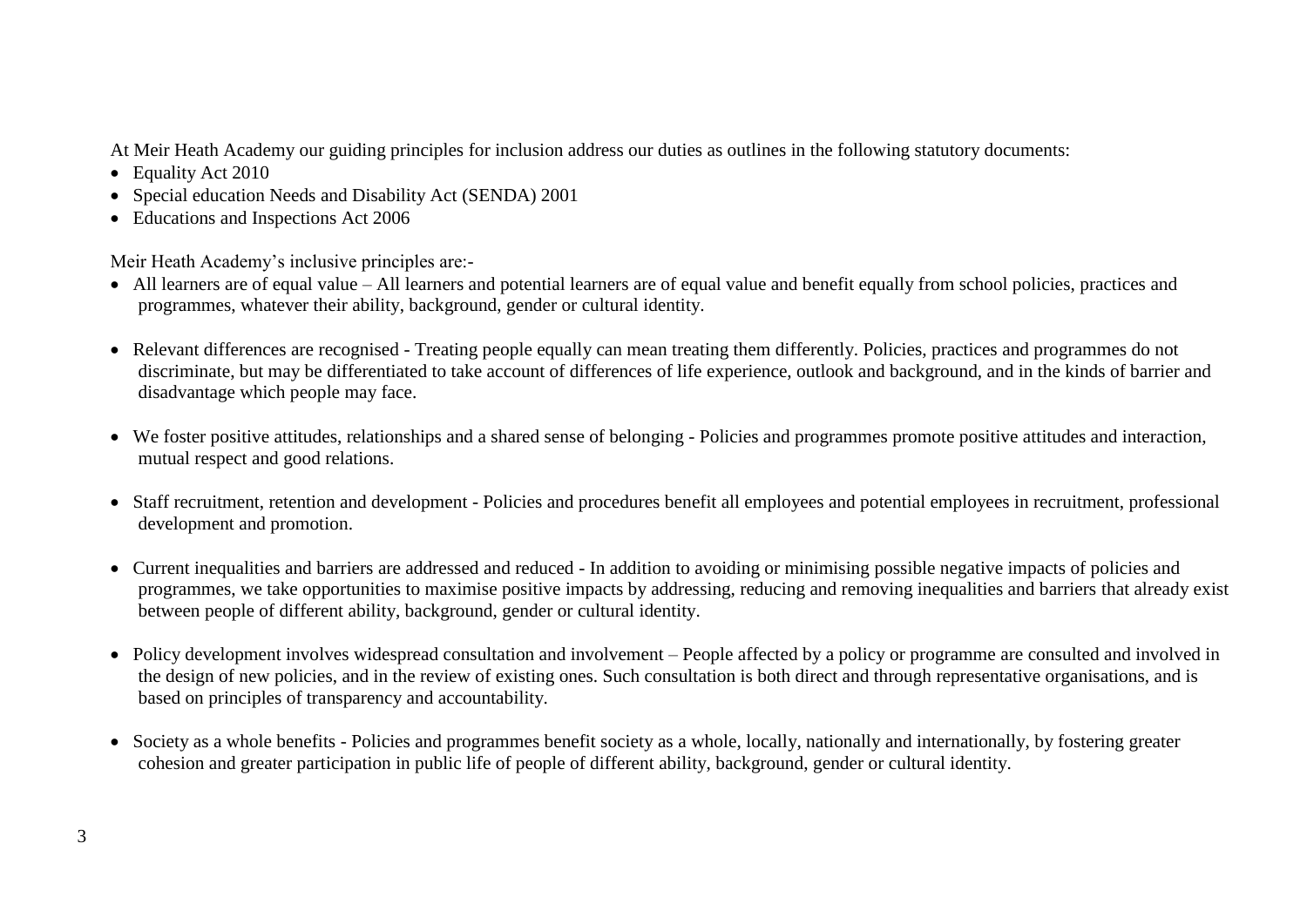At Meir Heath Academy our guiding principles for inclusion address our duties as outlines in the following statutory documents:

- Equality Act 2010
- Special education Needs and Disability Act (SENDA) 2001
- Educations and Inspections Act 2006

Meir Heath Academy's inclusive principles are:-

- All learners are of equal value All learners and potential learners are of equal value and benefit equally from school policies, practices and programmes, whatever their ability, background, gender or cultural identity.
- Relevant differences are recognised Treating people equally can mean treating them differently. Policies, practices and programmes do not discriminate, but may be differentiated to take account of differences of life experience, outlook and background, and in the kinds of barrier and disadvantage which people may face.
- We foster positive attitudes, relationships and a shared sense of belonging Policies and programmes promote positive attitudes and interaction, mutual respect and good relations.
- Staff recruitment, retention and development Policies and procedures benefit all employees and potential employees in recruitment, professional development and promotion.
- Current inequalities and barriers are addressed and reduced In addition to avoiding or minimising possible negative impacts of policies and programmes, we take opportunities to maximise positive impacts by addressing, reducing and removing inequalities and barriers that already exist between people of different ability, background, gender or cultural identity.
- Policy development involves widespread consultation and involvement People affected by a policy or programme are consulted and involved in the design of new policies, and in the review of existing ones. Such consultation is both direct and through representative organisations, and is based on principles of transparency and accountability.
- Society as a whole benefits Policies and programmes benefit society as a whole, locally, nationally and internationally, by fostering greater cohesion and greater participation in public life of people of different ability, background, gender or cultural identity.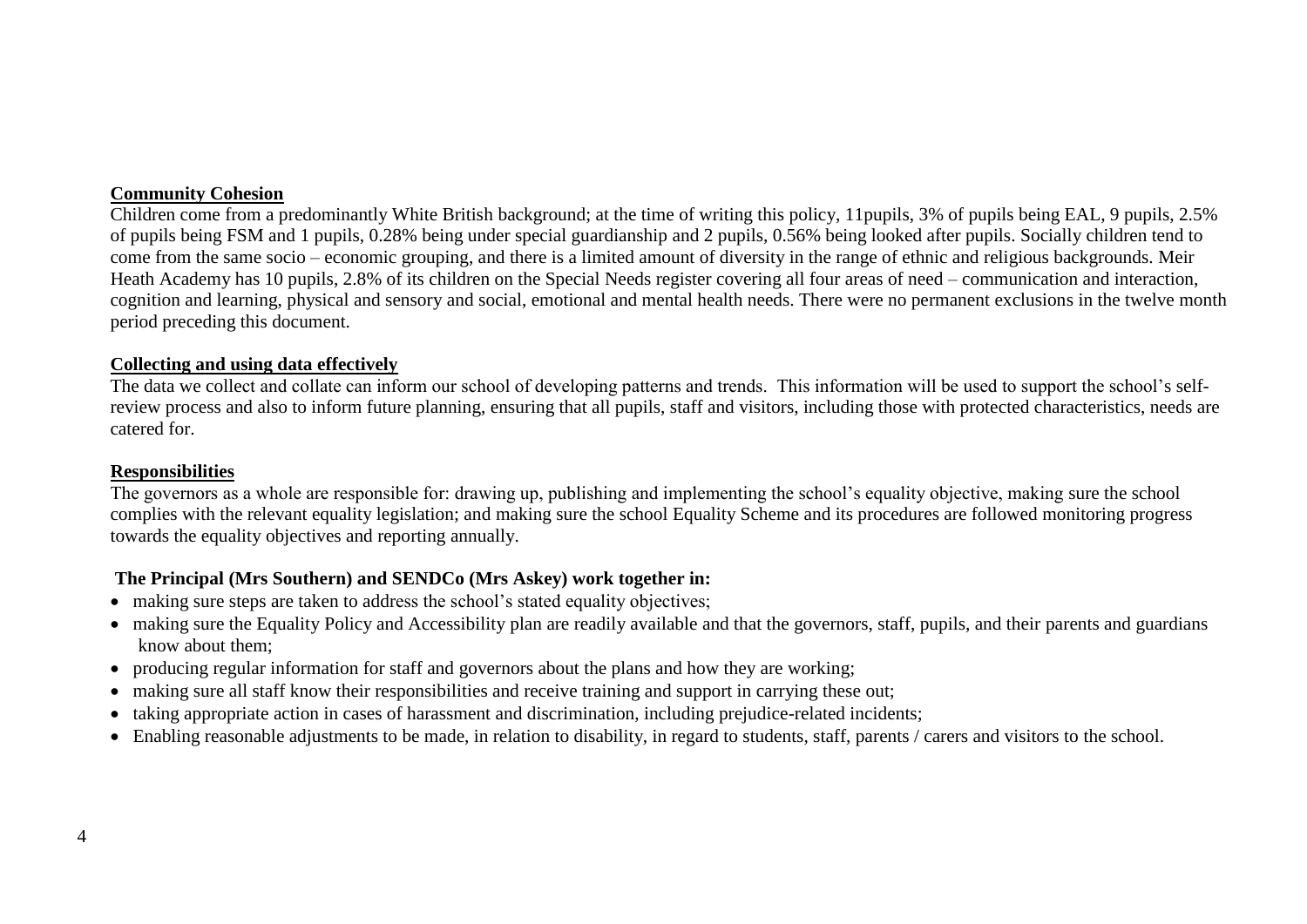#### **Community Cohesion**

Children come from a predominantly White British background; at the time of writing this policy, 11pupils, 3% of pupils being EAL, 9 pupils, 2.5% of pupils being FSM and 1 pupils, 0.28% being under special guardianship and 2 pupils, 0.56% being looked after pupils. Socially children tend to come from the same socio – economic grouping, and there is a limited amount of diversity in the range of ethnic and religious backgrounds. Meir Heath Academy has 10 pupils, 2.8% of its children on the Special Needs register covering all four areas of need – communication and interaction, cognition and learning, physical and sensory and social, emotional and mental health needs. There were no permanent exclusions in the twelve month period preceding this document.

#### **Collecting and using data effectively**

The data we collect and collate can inform our school of developing patterns and trends. This information will be used to support the school's selfreview process and also to inform future planning, ensuring that all pupils, staff and visitors, including those with protected characteristics, needs are catered for.

#### **Responsibilities**

The governors as a whole are responsible for: drawing up, publishing and implementing the school's equality objective, making sure the school complies with the relevant equality legislation; and making sure the school Equality Scheme and its procedures are followed monitoring progress towards the equality objectives and reporting annually.

# **The Principal (Mrs Southern) and SENDCo (Mrs Askey) work together in:**

- making sure steps are taken to address the school's stated equality objectives;
- making sure the Equality Policy and Accessibility plan are readily available and that the governors, staff, pupils, and their parents and guardians know about them;
- producing regular information for staff and governors about the plans and how they are working;
- making sure all staff know their responsibilities and receive training and support in carrying these out;
- taking appropriate action in cases of harassment and discrimination, including prejudice-related incidents;
- Enabling reasonable adjustments to be made, in relation to disability, in regard to students, staff, parents / carers and visitors to the school.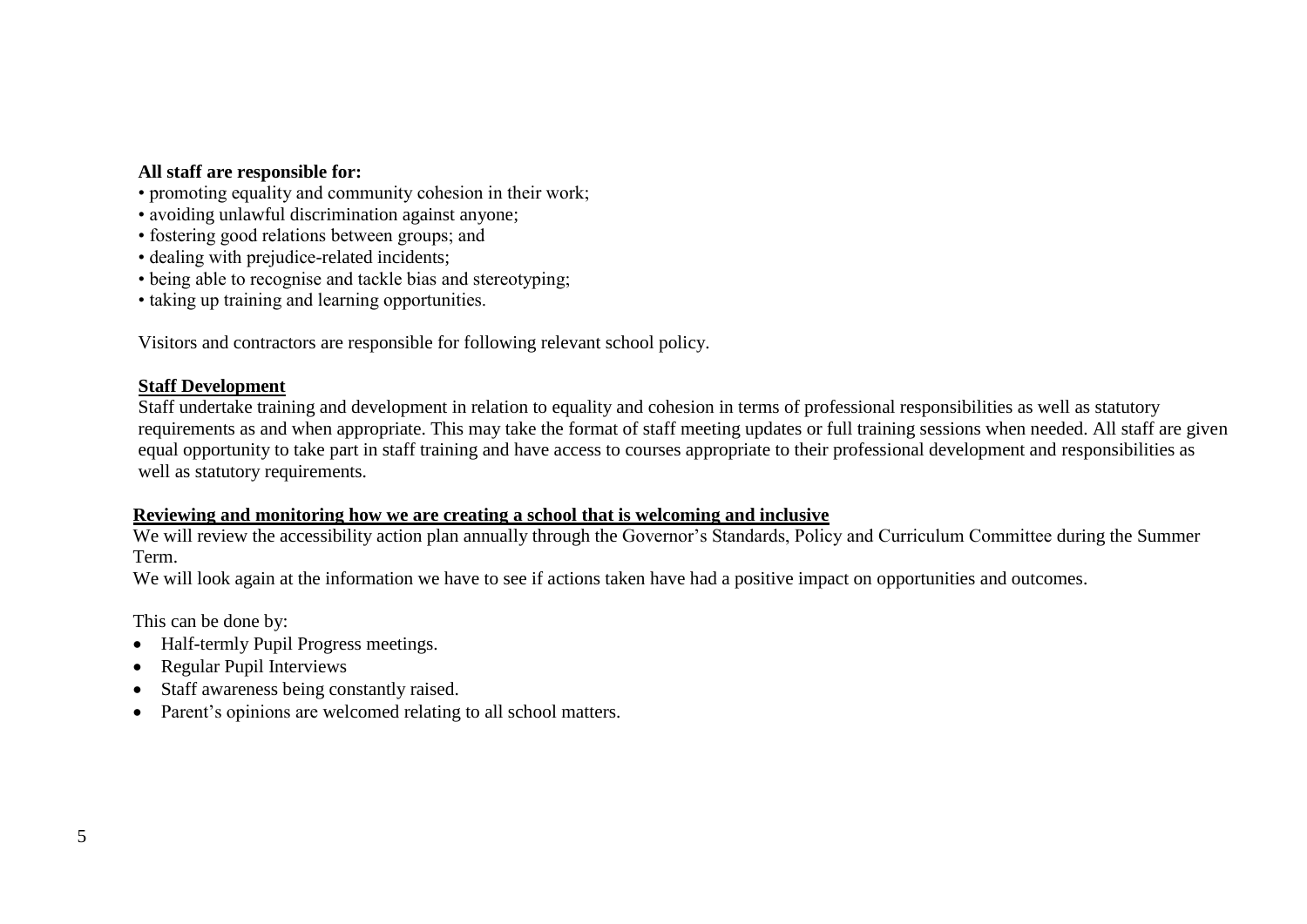### **All staff are responsible for:**

- promoting equality and community cohesion in their work;
- avoiding unlawful discrimination against anyone;
- fostering good relations between groups; and
- dealing with prejudice-related incidents;
- being able to recognise and tackle bias and stereotyping;
- taking up training and learning opportunities.

Visitors and contractors are responsible for following relevant school policy.

## **Staff Development**

Staff undertake training and development in relation to equality and cohesion in terms of professional responsibilities as well as statutory requirements as and when appropriate. This may take the format of staff meeting updates or full training sessions when needed. All staff are given equal opportunity to take part in staff training and have access to courses appropriate to their professional development and responsibilities as well as statutory requirements.

### **Reviewing and monitoring how we are creating a school that is welcoming and inclusive**

We will review the accessibility action plan annually through the Governor's Standards, Policy and Curriculum Committee during the Summer Term.

We will look again at the information we have to see if actions taken have had a positive impact on opportunities and outcomes.

This can be done by:

- Half-termly Pupil Progress meetings.
- Regular Pupil Interviews
- Staff awareness being constantly raised.
- Parent's opinions are welcomed relating to all school matters.